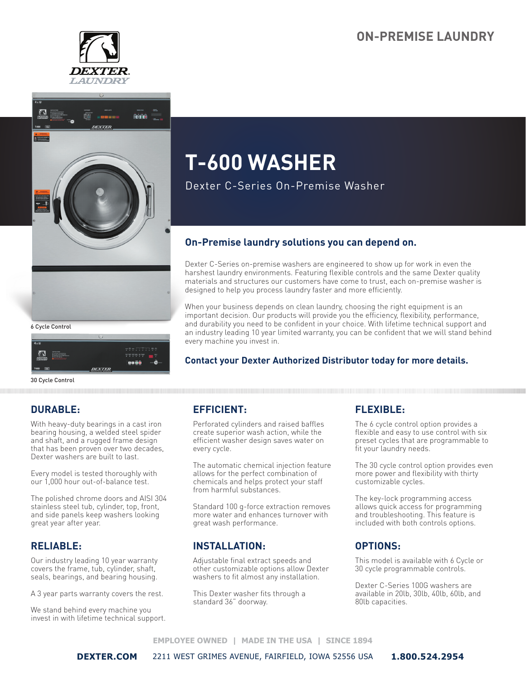## **ON-PREMISE LAUNDRY**





6 Cycle Control

|                                 |                                                                                                                                                                                                    | ບ                                                                                                  |
|---------------------------------|----------------------------------------------------------------------------------------------------------------------------------------------------------------------------------------------------|----------------------------------------------------------------------------------------------------|
| $4x \otimes$                    |                                                                                                                                                                                                    |                                                                                                    |
| ۰<br><b>DEXTER.</b><br>LAUNDREY | <b><i><u>ASTRATIVER</u></i></b><br><b>CONTRACTOR</b> - Chairman Mark - Gran<br><b>Brown and a big more</b><br><b>SACHARDOLF of New Wader</b><br><b>Paint Ford Street</b><br><b>Northern Common</b> | $-5 - 77 - 88$<br>.<br>for the top and an entity<br>ter<br>1<br>.<br><b>BR 6</b><br>$\blacksquare$ |
| त्वर<br>T-600                   |                                                                                                                                                                                                    | <b>DEXTER</b><br>INDUSTRIAL WASHER                                                                 |

30 Cycle Control

## **DURABLE:**

With heavy-duty bearings in a cast iron bearing housing, a welded steel spider and shaft, and a rugged frame design that has been proven over two decades, Dexter washers are built to last.

Every model is tested thoroughly with our 1,000 hour out-of-balance test.

The polished chrome doors and AISI 304 stainless steel tub, cylinder, top, front, and side panels keep washers looking great year after year.

#### **RELIABLE:**

Our industry leading 10 year warranty covers the frame, tub, cylinder, shaft, seals, bearings, and bearing housing.

A 3 year parts warranty covers the rest.

We stand behind every machine you invest in with lifetime technical support.

# **T-600 WASHER**

Dexter C-Series On-Premise Washer

## **On-Premise laundry solutions you can depend on.**

Dexter C-Series on-premise washers are engineered to show up for work in even the harshest laundry environments. Featuring flexible controls and the same Dexter quality materials and structures our customers have come to trust, each on-premise washer is designed to help you process laundry faster and more efficiently.

When your business depends on clean laundry, choosing the right equipment is an important decision. Our products will provide you the efficiency, flexibility, performance, and durability you need to be confident in your choice. With lifetime technical support and an industry leading 10 year limited warranty, you can be confident that we will stand behind every machine you invest in.

#### **Contact your Dexter Authorized Distributor today for more details.**

## **EFFICIENT:**

Perforated cylinders and raised baffles create superior wash action, while the efficient washer design saves water on every cycle.

The automatic chemical injection feature allows for the perfect combination of chemicals and helps protect your staff from harmful substances.

Standard 100 g-force extraction removes more water and enhances turnover with great wash performance.

#### **INSTALLATION:**

Adjustable final extract speeds and other customizable options allow Dexter washers to fit almost any installation.

This Dexter washer fits through a standard 36" doorway.

## **FLEXIBLE:**

The 6 cycle control option provides a flexible and easy to use control with six preset cycles that are programmable to fit your laundry needs.

The 30 cycle control option provides even more power and flexibility with thirty customizable cycles.

The key-lock programming access allows quick access for programming and troubleshooting. This feature is included with both controls options.

## **OPTIONS:**

This model is available with 6 Cycle or 30 cycle programmable controls.

Dexter C-Series 100G washers are available in 20lb, 30lb, 40lb, 60lb, and 80lb capacities.

#### **EMPLOYEE OWNED | MADE IN THE USA | SINCE 1894**

**DEXTER.COM** 2211 WEST GRIMES AVENUE, FAIRFIELD, IOWA 52556 USA **1.800.524.2954**